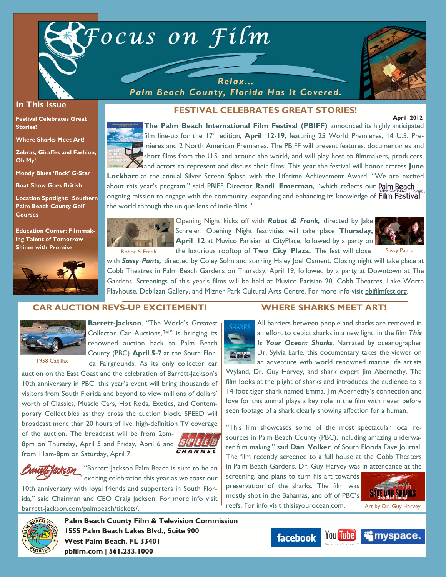

Relax... Palm Beach County, Florida Has It Covered.



 **April 2012** 

#### **In This Issue**

**Festival Celebrates Great Stories!** 

**Where Sharks Meet Art!** 

**Zebras, Giraffes and Fashion, Oh My!** 

**Moody Blues 'Rock' G-Star** 

**Boat Show Goes British** 

**Location Spotlight: Southern Palm Beach County Golf Courses** 

**Education Corner: Filmmaking Talent of Tomorrow Shines with Promise**



# **FESTIVAL CELEBRATES GREAT STORIES!**

**The Palm Beach International Film Festival (PBIFF)** announced its highly anticipated film line-up for the 17<sup>th</sup> edition, **April 12-19**, featuring 25 World Premieres, 14 U.S. Premieres and 2 North American Premieres. The PBIFF will present features, documentaries and short films from the U.S. and around the world, and will play host to filmmakers, producers, and actors to represent and discuss their films. This year the festival will honor actress **June** 

**Lockhart** at the annual Silver Screen Splash with the Lifetime Achievement Award. "We are excited about this year's program," said PBIFF Director **Randi Emerman**, "which reflects our ongoing mission to engage with the community, expanding and enhancing its knowledge of Film Festival the world through the unique lens of indie films."



Opening Night kicks off with *Robot & Frank,* directed by Jake Schreier. Opening Night festivities will take place **Thursday, April 12** at Muvico Parisian at CityPlace, followed by a party on Robot & Frank the luxurious rooftop of **Two City Plaza.** The fest will close Sassy Pants



with *Sassy Pants,* directed by Coley Sohn and starring Haley Joel Osment. Closing night will take place at Cobb Theatres in Palm Beach Gardens on Thursday, April 19, followed by a party at Downtown at The Gardens. Screenings of this year's films will be held at Muvico Parisian 20, Cobb Theatres, Lake Worth Playhouse, Debilzan Gallery, and Mizner Park Cultural Arts Centre. For more info visit pbifilmfest.org.

#### **CAR AUCTION REVS-UP EXCITEMENT!**



**Barrett-Jackson**, "The World's Greatest Collector Car Auctions,™" is bringing its

1958 Cadillac

renowned auction back to Palm Beach County (PBC) **April 5-7** at the South Florida Fairgrounds. As its only collector car

auction on the East Coast and the celebration of Barrett-Jackson's 10th anniversary in PBC, this year's event will bring thousands of visitors from South Florida and beyond to view millions of dollars' worth of Classics, Muscle Cars, Hot Rods, Exotics, and Contemporary Collectibles as they cross the auction block. SPEED will broadcast more than 20 hours of live, high-definition TV coverage

of the auction. The broadcast will be from 2pm-8pm on Thursday, April 5 and Friday, April 6 and from 11am-8pm on Saturday, April 7.



**Bantell-Jackson** "Barrett-Jackson Palm Beach is sure to be an exciting celebration this year as we toast our

10th anniversary with loyal friends and supporters in South Florida," said Chairman and CEO Craig Jackson. For more info visit barrett-jackson.com/palmbeach/tickets/.

# SHARKS 文式な

**WHERE SHARKS MEET ART!** 

All barriers between people and sharks are removed in an effort to depict sharks in a new light, in the film *This Is Your Ocean: Sharks*. Narrated by oceanographer Dr. Sylvia Earle, this documentary takes the viewer on an adventure with world renowned marine life artists

Wyland, Dr. Guy Harvey, and shark expert Jim Abernethy. The film looks at the plight of sharks and introduces the audience to a 14-foot tiger shark named Emma. Jim Abernethy's connection and love for this animal plays a key role in the film with never before seen footage of a shark clearly showing affection for a human.

"This film showcases some of the most spectacular local resources in Palm Beach County (PBC), including amazing underwater film making," said **Dan Volker** of South Florida Dive Journal. The film recently screened to a full house at the Cobb Theaters in Palm Beach Gardens. Dr. Guy Harvey was in attendance at the

screening, and plans to turn his art towards preservation of the sharks. The film was mostly shot in the Bahamas, and off of PBC's reefs. For info visit thisisyourocean.com. Art by Dr. Guy Harvey





**Palm Beach County Film & Television Commission 1555 Palm Beach Lakes Blvd., Suite 900 West Palm Beach, FL 33401 pbfilm.com | 561.233.1000** 

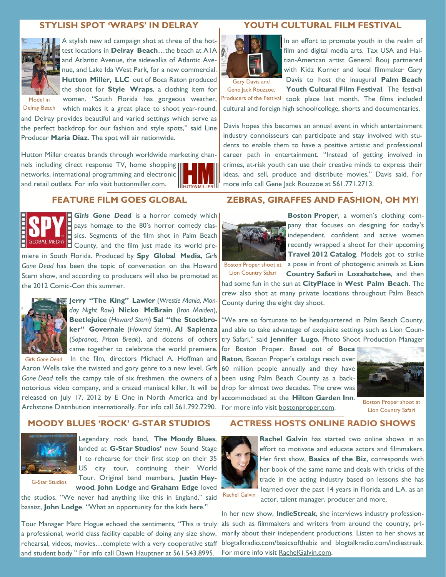# **STYLISH SPOT 'WRAPS' IN DELRAY**



A stylish new ad campaign shot at three of the hottest locations in **Delray Beach**…the beach at A1A and Atlantic Avenue, the sidewalks of Atlantic Avenue, and Lake Ida West Park, for a new commercial. Hutton Miller, LLC out of Boca Raton produced the shoot for **Style Wraps**, a clothing item for women. "South Florida has gorgeous weather,

Delray Beach which makes it a great place to shoot year-round, and Delray provides beautiful and varied settings which serve as the perfect backdrop for our fashion and style spots," said Line Producer **Maria Diaz**. The spot will air nationwide.

Hutton Miller creates brands through worldwide marketing channels including direct response TV, home shopping networks, international programming and electronic and retail outlets. For info visit huttonmiller.com.

# **FEATURE FILM GOES GLOBAL**



Girls Gone Dead is a horror comedy which  $\overline{P}$  pays homage to the 80's horror comedy classics. Segments of the film shot in Palm Beach County, and the film just made its world premiere in South Florida. Produced by **Spy Global Media**, *Girls* 

*Gone Dead* has been the topic of conversation on the Howard Stern show, and according to producers will also be promoted at the 2012 Comic-Con this summer.



**Jerry "The King" Lawler** (*Wrestle Mania, Monday Night Raw*) **Nicko McBrain** (I*ron Maiden*), **Beetlejuice** (*Howard Stern*) **Sal "the Stockbroker" Governale** (*Howard Stern*), **Al Sapienza** (*Sopranos, Prison Break*), and dozens of others came together to celebrate the world premiere.

Girls Gone Dead In the film, directors Michael A. Hoffman and Aaron Wells take the twisted and gory genre to a new level. *Girls Gone Dead* tells the campy tale of six freshmen, the owners of a notorious video company, and a crazed maniacal killer. It will be released on July 17, 2012 by E One in North America and by accommodated at the **Hilton Garden Inn**. Archstone Distribution internationally. For info call 561.792.7290. For more info visit **bostonproper.com**.

#### **MOODY BLUES 'ROCK' G-STAR STUDIOS**



Legendary rock band, **The Moody Blues**, landed at **G-Star Studios'** new Sound Stage 1 to rehearse for their first stop on their 35 US city tour, continuing their World Tour. Original band members, **Justin Hey-**

**wood**, **John Lodge** and **Graham Edge** loved

G-Star Studios

the studios. "We never had anything like this in England," said bassist, **John Lodge**. "What an opportunity for the kids here."

Tour Manager Marc Hogue echoed the sentiments, "This is truly a professional, world class facility capable of doing any size show, rehearsal, videos, movies...complete with a very cooperative staff and student body." For info call Dawn Hauptner at 561.543.8995.

# **YOUTH CULTURAL FILM FESTIVAL**



In an effort to promote youth in the realm of film and digital media arts, Tax USA and Haitian-American artist General Rouj partnered with Kidz Korner and local filmmaker Gary Davis to host the inaugural **Palm Beach** 

Gary Davis and

**Youth Cultural Film Festival**. The festival Producers of the Festival took place last month. The films included cultural and foreign high school/college, shorts and documentaries. Gene Jack Rouzzoe,

Davis hopes this becomes an annual event in which entertainment industry connoisseurs can participate and stay involved with students to enable them to have a positive artistic and professional career path in entertainment. "Instead of getting involved in crimes, at-risk youth can use their creative minds to express their ideas, and sell, produce and distribute movies," Davis said. For more info call Gene Jack Rouzzoe at 561.771.2713.

#### **ZEBRAS, GIRAFFES AND FASHION, OH MY!**



**Boston Proper**, a women's clothing company that focuses on designing for today's independent, confident and active women recently wrapped a shoot for their upcoming **Travel 2012 Catalog**. Models got to strike

Lion Country Safari

Boston Proper shoot at a pose in front of photogenic animals at **Lion Country Safari** in **Loxahatchee**, and then

had some fun in the sun at **CityPlace** in **West Palm Beach**. The crew also shot at many private locations throughout Palm Beach County during the eight day shoot.

"We are so fortunate to be headquartered in Palm Beach County, and able to take advantage of exquisite settings such as Lion Country Safari," said **Jennifer Lugo**, Photo Shoot Production Manager

for Boston Proper. Based out of **Boca Raton**, Boston Proper's catalogs reach over 60 million people annually and they have been using Palm Beach County as a backdrop for almost two decades. The crew was



Boston Proper shoot at Lion Country Safari

#### **ACTRESS HOSTS ONLINE RADIO SHOWS**



**Rachel Galvin** has started two online shows in an effort to motivate and educate actors and filmmakers. Her first show, **Basics of the Biz**, corresponds with her book of the same name and deals with tricks of the trade in the acting industry based on lessons she has learned over the past 14 years in Florida and L.A. as an actor, talent manager, producer and more.

In her new show, **IndieStreak**, she interviews industry professionals such as filmmakers and writers from around the country, primarily about their independent productions. Listen to her shows at blogtalkradio.com/basicsofthebiz and blogtalkradio.com/indiestreak. For more info visit RachelGalvin.com.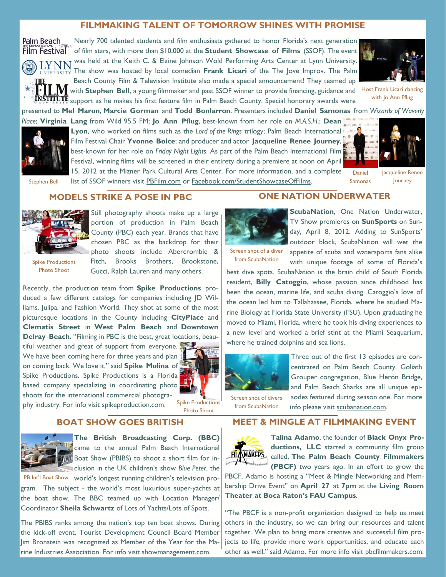# **FILMMAKING TALENT OF TOMORROW SHINES WITH PROMISE**



Nearly 700 talented students and film enthusiasts gathered to honor Florida's next generation Film Festival<sup>®</sup> of film stars, with more than \$10,000 at the Student Showcase of Films (SSOF). The event was held at the Keith C. & Elaine Johnson Wold Performing Arts Center at Lynn University. The show was hosted by local comedian **Frank Licari** of the The Jove Improv. The Palm Beach County Film & Television Institute also made a special announcement! They teamed up with **Stephen Bell**, a young filmmaker and past SSOF winner to provide financing, guidance and



Host Frank Licari dancing with Jo Ann Pflug

presented to **Mel Maron**, **Marcie Gorman** and **Todd Bonlarron**. Presenters included **Daniel Samonas** from *Wizards of Waverly Place*; **Virginia Lang** from Wild 95.5 FM; **Jo Ann Pflug**, best-known from her role on *M.A.S.H*.; **Dean** 



Lyon, who worked on films such as the *Lord of the Rings* trilogy; Palm Beach International Film Festival Chair **Yvonne Boice**; and producer and actor **Jacqueline Renee Journey**, best-known for her role on *Friday Night Lights*. As part of the Palm Beach International Film Festival, winning films will be screened in their entirety during a premiere at noon on April 15, 2012 at the Mizner Park Cultural Arts Center. For more information, and a complete

support as he makes his first feature film in Palm Beach County. Special honorary awards were



Stephen Bell

# list of SSOF winners visit PBFilm.com or Facebook.com/StudentShowcaseOfFilms.

Jacqueline Renee Journey Daniel Samonas

# **MODELS STRIKE A POSE IN PBC**



Still photography shoots make up a large portion of production in Palm Beach County (PBC) each year. Brands that have chosen PBC as the backdrop for their photo shoots include Abercrombie & Fitch, Brooks Brothers, Brookstone, Gucci, Ralph Lauren and many others.

Spike Productions Photo Shoot

Recently, the production team from **Spike Productions** produced a few different catalogs for companies including JD Williams, Julipa, and Fashion World. They shot at some of the most picturesque locations in the County including **CityPlace** and **Clematis Street** in **West Palm Beach** and **Downtown Delray Beach**. "Filming in PBC is the best, great locations, beau-

tiful weather and great of support from everyone. We have been coming here for three years and plan on coming back. We love it," said **Spike Molina** of Spike Productions. Spike Productions is a Florida based company specializing in coordinating photo shoots for the international commercial photography industry. For info visit spikeproduction.com.



Spike Productions Photo Shoot

# **BOAT SHOW GOES BRITISH**



**The British Broadcasting Corp. (BBC)**  came to the annual Palm Beach International Boat Show (PBIBS) to shoot a short film for inclusion in the UK children's show *Blue Peter*, the

PB Int'l Boat Show world's longest running children's television program. The subject - the world's most luxurious super-yachts at the boat show. The BBC teamed up with Location Manager/ Coordinator **Sheila Schwartz** of Lots of Yachts/Lots of Spots.

The PBIBS ranks among the nation's top ten boat shows. During the kick-off event, Tourist Development Council Board Member Jim Bronstein was recognized as Member of the Year for the Marine Industries Association. For info visit showmanagement.com.

# **ONE NATION UNDERWATER**



**ScubaNation, One Nation Underwater,** TV Show premieres on **SunSports** on Sunday, April 8, 2012. Adding to SunSports' outdoor block, ScubaNation will wet the appetite of scuba and watersports fans alike with unique footage of some of Florida's

Screen shot of a diver from ScubaNation

best dive spots. ScubaNation is the brain child of South Florida resident, **Billy Catoggio**, whose passion since childhood has been the ocean, marine life, and scuba diving. Catoggio's love of the ocean led him to Tallahassee, Florida, where he studied Marine Biology at Florida State University (FSU). Upon graduating he moved to Miami, Florida, where he took his diving experiences to a new level and worked a brief stint at the Miami Seaquarium, where he trained dolphins and sea lions.



Three out of the first 13 episodes are concentrated on Palm Beach County. Goliath Grouper congregation, Blue Heron Bridge, and Palm Beach Sharks are all unique episodes featured during season one. For more info please visit scubanation.com.

Screen shot of divers from ScubaNation

# **MEET & MINGLE AT FILMMAKING EVENT**



**Talina Adamo**, the founder of **Black Onyx Productions, LLC** started a community film group called, **The Palm Beach County Filmmakers (PBCF)** two years ago. In an effort to grow the

PBCF, Adamo is hosting a "Meet & Mingle Networking and Membership Drive Event" on **April 27** at **7pm** at the **Living Room Theater at Boca Raton's FAU Campus**.

"The PBCF is a non-profit organization designed to help us meet others in the industry, so we can bring our resources and talent together. We plan to bring more creative and successful film projects to life, provide more work opportunities, and educate each other as well," said Adamo. For more info visit pbcfilmmakers.com.